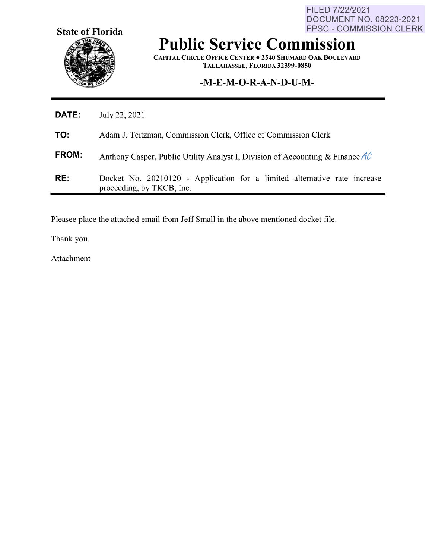**State of Florida** 

FILED 7/22/2021 DOCUMENT NO. 08223-2021 FPSC - COMMISSION CLERK

## **Public Service Commission**

**CAPITAL CIRCLE OFFICE CENTER• 2540 SHUMARD OAK BOULEVARD TALLAHASSEE, FLORIDA 32399-0850** 

## **-M-E-M-O-R-A-N-D-U-M-**

| <b>DATE:</b> | July 22, 2021                                                                                          |
|--------------|--------------------------------------------------------------------------------------------------------|
| TO:          | Adam J. Teitzman, Commission Clerk, Office of Commission Clerk                                         |
| <b>FROM:</b> | Anthony Casper, Public Utility Analyst I, Division of Accounting & Finance $AC$                        |
| RE:          | Docket No. 20210120 - Application for a limited alternative rate increase<br>proceeding, by TKCB, Inc. |

Pleasee place the attached email from Jeff Small in the above mentioned docket file.

Thank you.

Attachment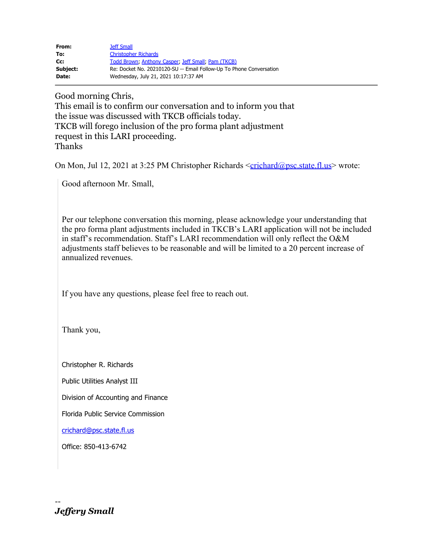| From:    | <b>Jeff Small</b>                                                   |
|----------|---------------------------------------------------------------------|
| To:      | <b>Christopher Richards</b>                                         |
| Cc:      | Todd Brown, Anthony Casper, Jeff Small, Pam (TKCB)                  |
| Subject: | Re: Docket No. 20210120-SU -- Email Follow-Up To Phone Conversation |
| Date:    | Wednesday, July 21, 2021 10:17:37 AM                                |

Good morning Chris,

This email is to confirm our conversation and to inform you that the issue was discussed with TKCB officials today. TKCB will forego inclusion of the pro forma plant adjustment request in this LARI proceeding. Thanks

On Mon, Jul 12, 2021 at 3:25 PM Christopher Richards  $\leq$ [crichard@psc.state.fl.us](mailto:crichard@psc.state.fl.us)</u>> wrote:

Good afternoon Mr. Small,

Per our telephone conversation this morning, please acknowledge your understanding that the pro forma plant adjustments included in TKCB's LARI application will not be included in staff's recommendation. Staff's LARI recommendation will only reflect the O&M adjustments staff believes to be reasonable and will be limited to a 20 percent increase of annualized revenues.

If you have any questions, please feel free to reach out.

Thank you,

Christopher R. Richards

Public Utilities Analyst III

Division of Accounting and Finance

Florida Public Service Commission

[crichard@psc.state.fl.us](mailto:crichard@psc.state.fl.us)

Office: 850-413-6742

-- *Jeffery Small*